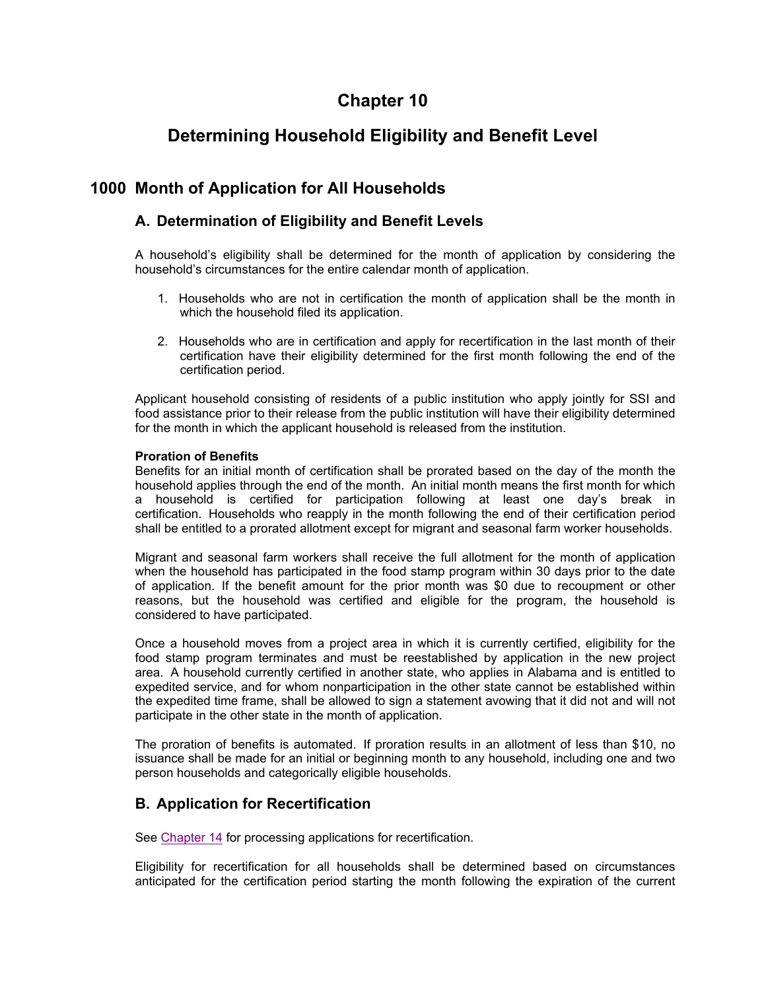# **Chapter 10**

# **Determining Household Eligibility and Benefit Level**

# **1000 Month of Application for All Households**

## **A. Determination of Eligibility and Benefit Levels**

A household's eligibility shall be determined for the month of application by considering the household's circumstances for the entire calendar month of application.

- 1. Households who are not in certification the month of application shall be the month in which the household filed its application.
- 2. Households who are in certification and apply for recertification in the last month of their certification have their eligibility determined for the first month following the end of the certification period.

Applicant household consisting of residents of a public institution who apply jointly for SSI and food assistance prior to their release from the public institution will have their eligibility determined for the month in which the applicant household is released from the institution.

#### **Proration of Benefits**

Benefits for an initial month of certification shall be prorated based on the day of the month the household applies through the end of the month. An initial month means the first month for which a household is certified for participation following at least one day's break in certification. Households who reapply in the month following the end of their certification period shall be entitled to a prorated allotment except for migrant and seasonal farm worker households.

Migrant and seasonal farm workers shall receive the full allotment for the month of application when the household has participated in the food stamp program within 30 days prior to the date of application. If the benefit amount for the prior month was \$0 due to recoupment or other reasons, but the household was certified and eligible for the program, the household is considered to have participated.

Once a household moves from a project area in which it is currently certified, eligibility for the food stamp program terminates and must be reestablished by application in the new project area. A household currently certified in another state, who applies in Alabama and is entitled to expedited service, and for whom nonparticipation in the other state cannot be established within the expedited time frame, shall be allowed to sign a statement avowing that it did not and will not participate in the other state in the month of application.

The proration of benefits is automated. If proration results in an allotment of less than \$10, no issuance shall be made for an initial or beginning month to any household, including one and two person households and categorically eligible households.

# **B. Application for Recertification**

See Chapter 14 for processing applications for recertification.

Eligibility for recertification for all households shall be determined based on circumstances anticipated for the certification period starting the month following the expiration of the current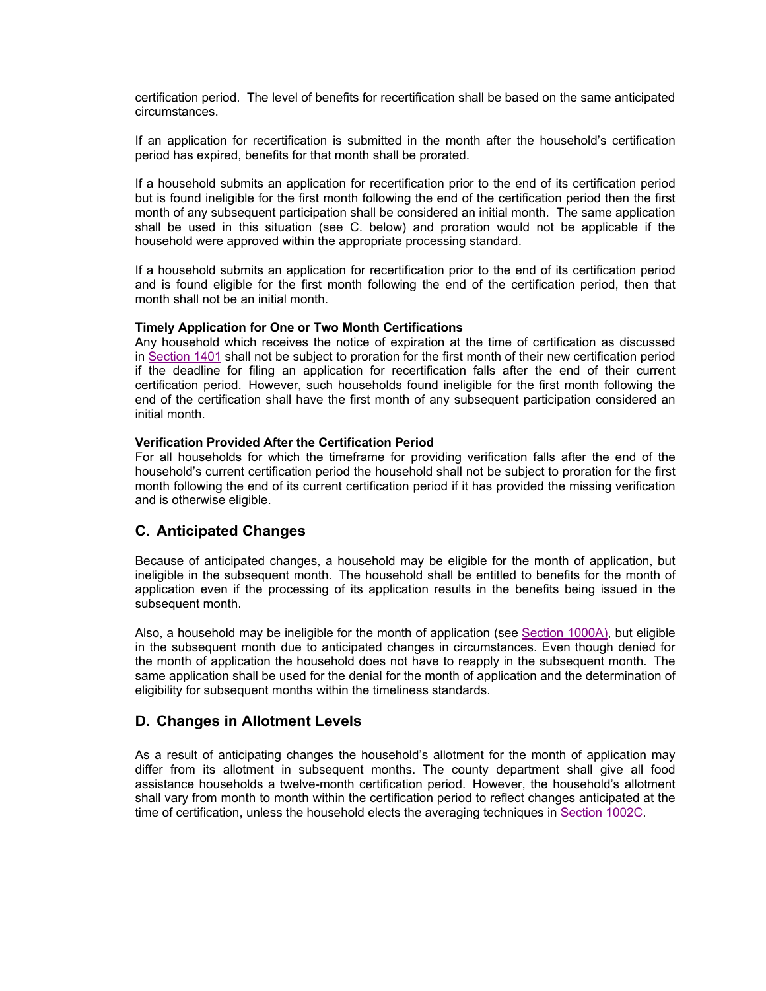certification period. The level of benefits for recertification shall be based on the same anticipated circumstances.

If an application for recertification is submitted in the month after the household's certification period has expired, benefits for that month shall be prorated.

If a household submits an application for recertification prior to the end of its certification period but is found ineligible for the first month following the end of the certification period then the first month of any subsequent participation shall be considered an initial month. The same application shall be used in this situation (see C. below) and proration would not be applicable if the household were approved within the appropriate processing standard.

If a household submits an application for recertification prior to the end of its certification period and is found eligible for the first month following the end of the certification period, then that month shall not be an initial month.

#### **Timely Application for One or Two Month Certifications**

Any household which receives the notice of expiration at the time of certification as discussed in Section 1401 shall not be subject to proration for the first month of their new certification period if the deadline for filing an application for recertification falls after the end of their current certification period. However, such households found ineligible for the first month following the end of the certification shall have the first month of any subsequent participation considered an initial month.

#### **Verification Provided After the Certification Period**

For all households for which the timeframe for providing verification falls after the end of the household's current certification period the household shall not be subject to proration for the first month following the end of its current certification period if it has provided the missing verification and is otherwise eligible.

### **C. Anticipated Changes**

Because of anticipated changes, a household may be eligible for the month of application, but ineligible in the subsequent month. The household shall be entitled to benefits for the month of application even if the processing of its application results in the benefits being issued in the subsequent month.

Also, a household may be ineligible for the month of application (see Section 1000A), but eligible in the subsequent month due to anticipated changes in circumstances. Even though denied for the month of application the household does not have to reapply in the subsequent month. The same application shall be used for the denial for the month of application and the determination of eligibility for subsequent months within the timeliness standards.

### **D. Changes in Allotment Levels**

As a result of anticipating changes the household's allotment for the month of application may differ from its allotment in subsequent months. The county department shall give all food assistance households a twelve-month certification period. However, the household's allotment shall vary from month to month within the certification period to reflect changes anticipated at the time of certification, unless the household elects the averaging techniques in Section 1002C.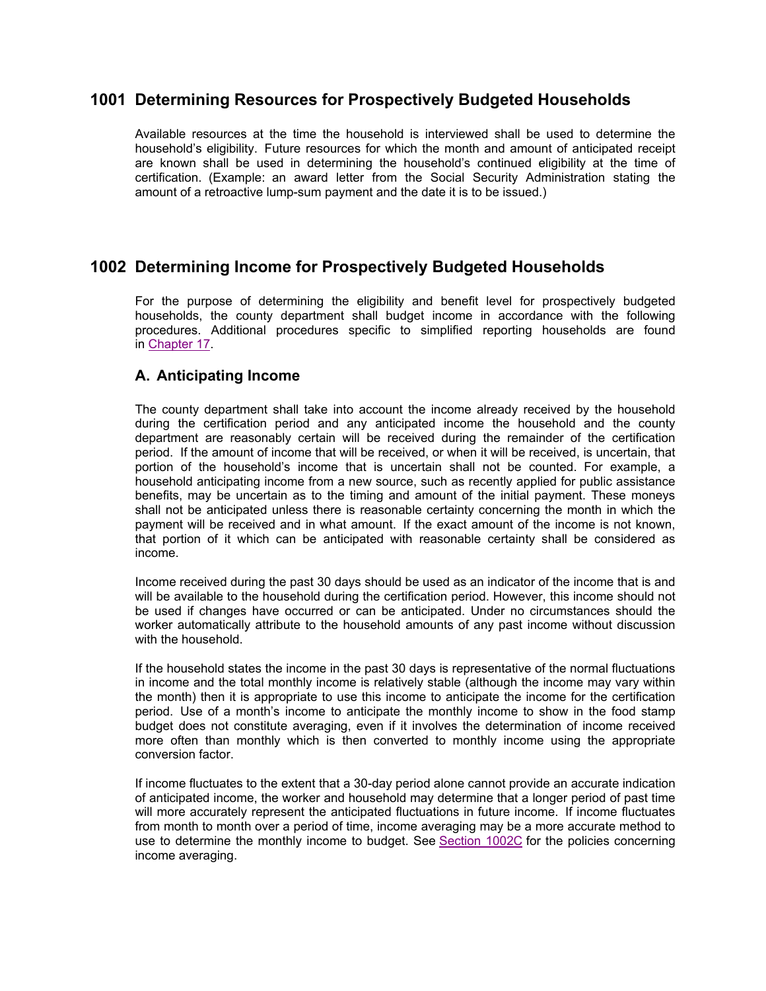# **1001 Determining Resources for Prospectively Budgeted Households**

Available resources at the time the household is interviewed shall be used to determine the household's eligibility. Future resources for which the month and amount of anticipated receipt are known shall be used in determining the household's continued eligibility at the time of certification. (Example: an award letter from the Social Security Administration stating the amount of a retroactive lump-sum payment and the date it is to be issued.)

# **1002 Determining Income for Prospectively Budgeted Households**

For the purpose of determining the eligibility and benefit level for prospectively budgeted households, the county department shall budget income in accordance with the following procedures. Additional procedures specific to simplified reporting households are found in Chapter 17.

### **A. Anticipating Income**

The county department shall take into account the income already received by the household during the certification period and any anticipated income the household and the county department are reasonably certain will be received during the remainder of the certification period. If the amount of income that will be received, or when it will be received, is uncertain, that portion of the household's income that is uncertain shall not be counted. For example, a household anticipating income from a new source, such as recently applied for public assistance benefits, may be uncertain as to the timing and amount of the initial payment. These moneys shall not be anticipated unless there is reasonable certainty concerning the month in which the payment will be received and in what amount. If the exact amount of the income is not known, that portion of it which can be anticipated with reasonable certainty shall be considered as income.

Income received during the past 30 days should be used as an indicator of the income that is and will be available to the household during the certification period. However, this income should not be used if changes have occurred or can be anticipated. Under no circumstances should the worker automatically attribute to the household amounts of any past income without discussion with the household.

If the household states the income in the past 30 days is representative of the normal fluctuations in income and the total monthly income is relatively stable (although the income may vary within the month) then it is appropriate to use this income to anticipate the income for the certification period. Use of a month's income to anticipate the monthly income to show in the food stamp budget does not constitute averaging, even if it involves the determination of income received more often than monthly which is then converted to monthly income using the appropriate conversion factor.

If income fluctuates to the extent that a 30-day period alone cannot provide an accurate indication of anticipated income, the worker and household may determine that a longer period of past time will more accurately represent the anticipated fluctuations in future income. If income fluctuates from month to month over a period of time, income averaging may be a more accurate method to use to determine the monthly income to budget. See Section 1002C for the policies concerning income averaging.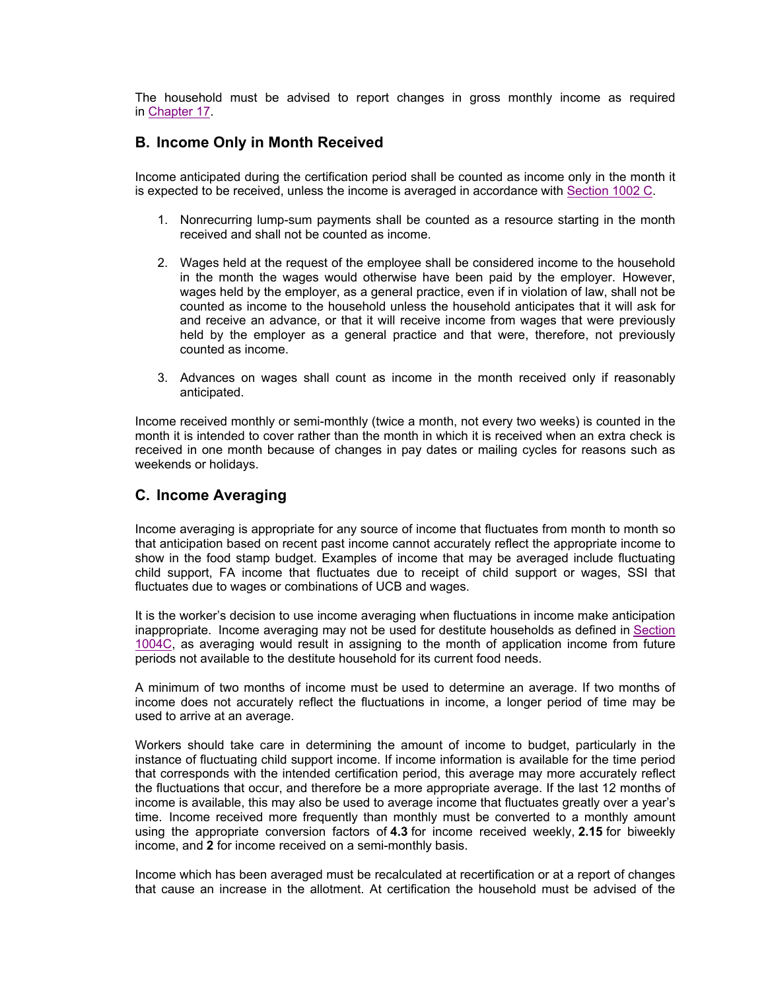The household must be advised to report changes in gross monthly income as required in Chapter 17.

### **B. Income Only in Month Received**

Income anticipated during the certification period shall be counted as income only in the month it is expected to be received, unless the income is averaged in accordance with Section 1002 C.

- 1. Nonrecurring lump-sum payments shall be counted as a resource starting in the month received and shall not be counted as income.
- 2. Wages held at the request of the employee shall be considered income to the household in the month the wages would otherwise have been paid by the employer. However, wages held by the employer, as a general practice, even if in violation of law, shall not be counted as income to the household unless the household anticipates that it will ask for and receive an advance, or that it will receive income from wages that were previously held by the employer as a general practice and that were, therefore, not previously counted as income.
- 3. Advances on wages shall count as income in the month received only if reasonably anticipated.

Income received monthly or semi-monthly (twice a month, not every two weeks) is counted in the month it is intended to cover rather than the month in which it is received when an extra check is received in one month because of changes in pay dates or mailing cycles for reasons such as weekends or holidays.

### **C. Income Averaging**

Income averaging is appropriate for any source of income that fluctuates from month to month so that anticipation based on recent past income cannot accurately reflect the appropriate income to show in the food stamp budget. Examples of income that may be averaged include fluctuating child support, FA income that fluctuates due to receipt of child support or wages, SSI that fluctuates due to wages or combinations of UCB and wages.

It is the worker's decision to use income averaging when fluctuations in income make anticipation inappropriate. Income averaging may not be used for destitute households as defined in Section 1004C, as averaging would result in assigning to the month of application income from future periods not available to the destitute household for its current food needs.

A minimum of two months of income must be used to determine an average. If two months of income does not accurately reflect the fluctuations in income, a longer period of time may be used to arrive at an average.

Workers should take care in determining the amount of income to budget, particularly in the instance of fluctuating child support income. If income information is available for the time period that corresponds with the intended certification period, this average may more accurately reflect the fluctuations that occur, and therefore be a more appropriate average. If the last 12 months of income is available, this may also be used to average income that fluctuates greatly over a year's time. Income received more frequently than monthly must be converted to a monthly amount using the appropriate conversion factors of **4.3** for income received weekly, **2.15** for biweekly income, and **2** for income received on a semi-monthly basis.

Income which has been averaged must be recalculated at recertification or at a report of changes that cause an increase in the allotment. At certification the household must be advised of the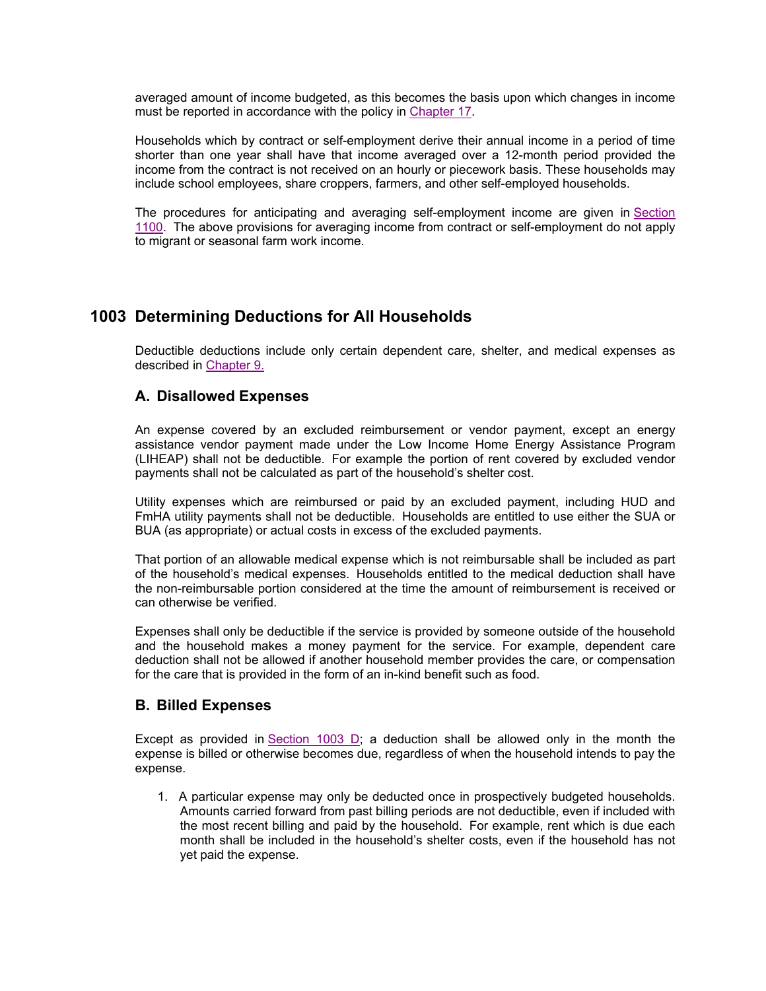averaged amount of income budgeted, as this becomes the basis upon which changes in income must be reported in accordance with the policy in Chapter 17.

Households which by contract or self-employment derive their annual income in a period of time shorter than one year shall have that income averaged over a 12-month period provided the income from the contract is not received on an hourly or piecework basis. These households may include school employees, share croppers, farmers, and other self-employed households.

The procedures for anticipating and averaging self-employment income are given in Section 1100. The above provisions for averaging income from contract or self-employment do not apply to migrant or seasonal farm work income.

# **1003 Determining Deductions for All Households**

Deductible deductions include only certain dependent care, shelter, and medical expenses as described in Chapter 9.

### **A. Disallowed Expenses**

An expense covered by an excluded reimbursement or vendor payment, except an energy assistance vendor payment made under the Low Income Home Energy Assistance Program (LIHEAP) shall not be deductible. For example the portion of rent covered by excluded vendor payments shall not be calculated as part of the household's shelter cost.

Utility expenses which are reimbursed or paid by an excluded payment, including HUD and FmHA utility payments shall not be deductible. Households are entitled to use either the SUA or BUA (as appropriate) or actual costs in excess of the excluded payments.

That portion of an allowable medical expense which is not reimbursable shall be included as part of the household's medical expenses. Households entitled to the medical deduction shall have the non-reimbursable portion considered at the time the amount of reimbursement is received or can otherwise be verified.

Expenses shall only be deductible if the service is provided by someone outside of the household and the household makes a money payment for the service. For example, dependent care deduction shall not be allowed if another household member provides the care, or compensation for the care that is provided in the form of an in-kind benefit such as food.

#### **B. Billed Expenses**

Except as provided in Section 1003 D; a deduction shall be allowed only in the month the expense is billed or otherwise becomes due, regardless of when the household intends to pay the expense.

1. A particular expense may only be deducted once in prospectively budgeted households. Amounts carried forward from past billing periods are not deductible, even if included with the most recent billing and paid by the household. For example, rent which is due each month shall be included in the household's shelter costs, even if the household has not yet paid the expense.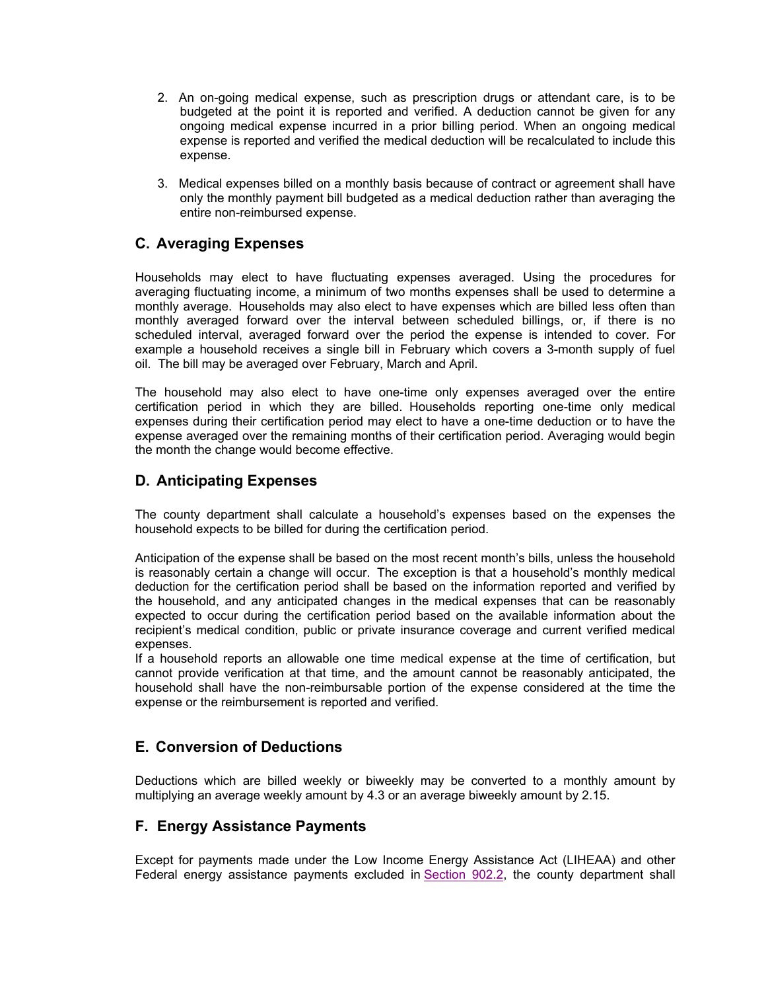- 2. An on-going medical expense, such as prescription drugs or attendant care, is to be budgeted at the point it is reported and verified. A deduction cannot be given for any ongoing medical expense incurred in a prior billing period. When an ongoing medical expense is reported and verified the medical deduction will be recalculated to include this expense.
- 3. Medical expenses billed on a monthly basis because of contract or agreement shall have only the monthly payment bill budgeted as a medical deduction rather than averaging the entire non-reimbursed expense.

### **C. Averaging Expenses**

Households may elect to have fluctuating expenses averaged. Using the procedures for averaging fluctuating income, a minimum of two months expenses shall be used to determine a monthly average. Households may also elect to have expenses which are billed less often than monthly averaged forward over the interval between scheduled billings, or, if there is no scheduled interval, averaged forward over the period the expense is intended to cover. For example a household receives a single bill in February which covers a 3-month supply of fuel oil. The bill may be averaged over February, March and April.

The household may also elect to have one-time only expenses averaged over the entire certification period in which they are billed. Households reporting one-time only medical expenses during their certification period may elect to have a one-time deduction or to have the expense averaged over the remaining months of their certification period. Averaging would begin the month the change would become effective.

### **D. Anticipating Expenses**

The county department shall calculate a household's expenses based on the expenses the household expects to be billed for during the certification period.

Anticipation of the expense shall be based on the most recent month's bills, unless the household is reasonably certain a change will occur. The exception is that a household's monthly medical deduction for the certification period shall be based on the information reported and verified by the household, and any anticipated changes in the medical expenses that can be reasonably expected to occur during the certification period based on the available information about the recipient's medical condition, public or private insurance coverage and current verified medical expenses.

If a household reports an allowable one time medical expense at the time of certification, but cannot provide verification at that time, and the amount cannot be reasonably anticipated, the household shall have the non-reimbursable portion of the expense considered at the time the expense or the reimbursement is reported and verified.

### **E. Conversion of Deductions**

Deductions which are billed weekly or biweekly may be converted to a monthly amount by multiplying an average weekly amount by 4.3 or an average biweekly amount by 2.15.

### **F. Energy Assistance Payments**

Except for payments made under the Low Income Energy Assistance Act (LIHEAA) and other Federal energy assistance payments excluded in Section 902.2, the county department shall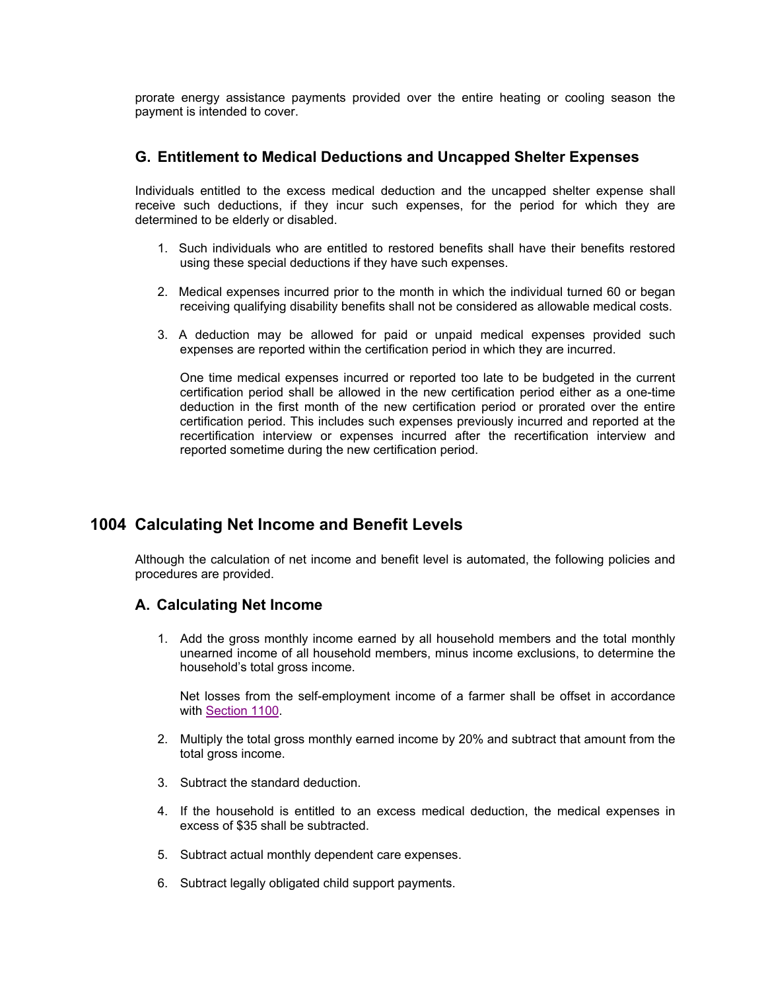prorate energy assistance payments provided over the entire heating or cooling season the payment is intended to cover.

#### **G. Entitlement to Medical Deductions and Uncapped Shelter Expenses**

Individuals entitled to the excess medical deduction and the uncapped shelter expense shall receive such deductions, if they incur such expenses, for the period for which they are determined to be elderly or disabled.

- 1. Such individuals who are entitled to restored benefits shall have their benefits restored using these special deductions if they have such expenses.
- 2. Medical expenses incurred prior to the month in which the individual turned 60 or began receiving qualifying disability benefits shall not be considered as allowable medical costs.
- 3. A deduction may be allowed for paid or unpaid medical expenses provided such expenses are reported within the certification period in which they are incurred.

One time medical expenses incurred or reported too late to be budgeted in the current certification period shall be allowed in the new certification period either as a one-time deduction in the first month of the new certification period or prorated over the entire certification period. This includes such expenses previously incurred and reported at the recertification interview or expenses incurred after the recertification interview and reported sometime during the new certification period.

# **1004 Calculating Net Income and Benefit Levels**

Although the calculation of net income and benefit level is automated, the following policies and procedures are provided.

### **A. Calculating Net Income**

1. Add the gross monthly income earned by all household members and the total monthly unearned income of all household members, minus income exclusions, to determine the household's total gross income.

Net losses from the self-employment income of a farmer shall be offset in accordance with Section 1100.

- 2. Multiply the total gross monthly earned income by 20% and subtract that amount from the total gross income.
- 3. Subtract the standard deduction.
- 4. If the household is entitled to an excess medical deduction, the medical expenses in excess of \$35 shall be subtracted.
- 5. Subtract actual monthly dependent care expenses.
- 6. Subtract legally obligated child support payments.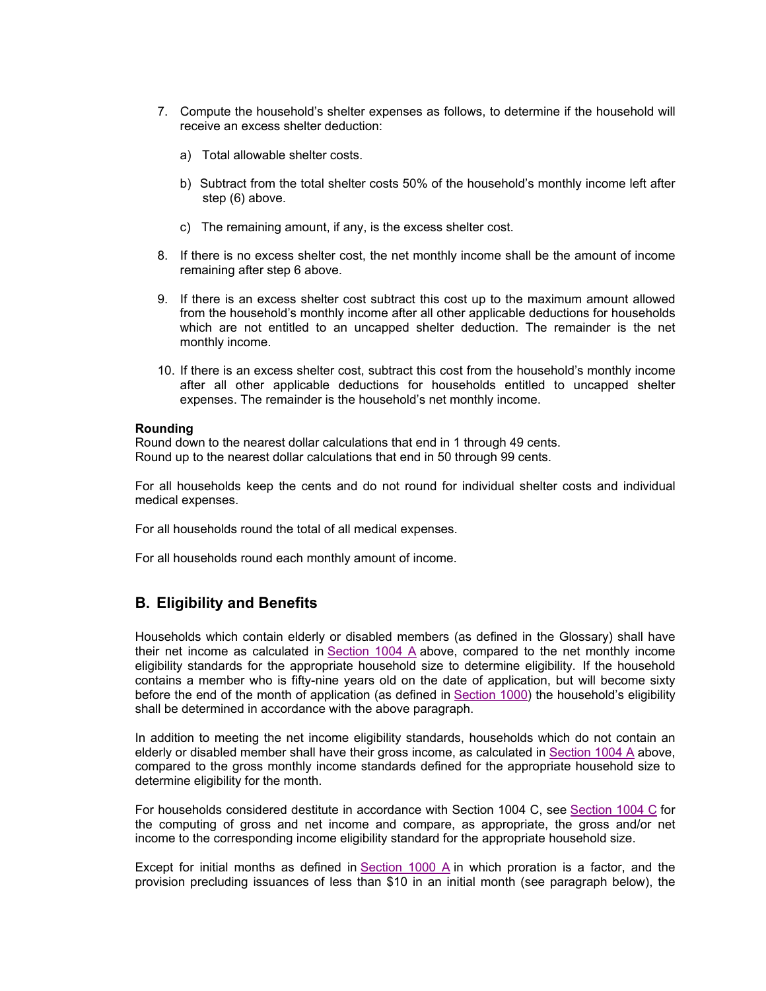- 7. Compute the household's shelter expenses as follows, to determine if the household will receive an excess shelter deduction:
	- a) Total allowable shelter costs.
	- b) Subtract from the total shelter costs 50% of the household's monthly income left after step (6) above.
	- c) The remaining amount, if any, is the excess shelter cost.
- 8. If there is no excess shelter cost, the net monthly income shall be the amount of income remaining after step 6 above.
- 9. If there is an excess shelter cost subtract this cost up to the maximum amount allowed from the household's monthly income after all other applicable deductions for households which are not entitled to an uncapped shelter deduction. The remainder is the net monthly income.
- 10. If there is an excess shelter cost, subtract this cost from the household's monthly income after all other applicable deductions for households entitled to uncapped shelter expenses. The remainder is the household's net monthly income.

#### **Rounding**

Round down to the nearest dollar calculations that end in 1 through 49 cents. Round up to the nearest dollar calculations that end in 50 through 99 cents.

For all households keep the cents and do not round for individual shelter costs and individual medical expenses.

For all households round the total of all medical expenses.

For all households round each monthly amount of income.

### **B. Eligibility and Benefits**

Households which contain elderly or disabled members (as defined in the Glossary) shall have their net income as calculated in Section 1004 A above, compared to the net monthly income eligibility standards for the appropriate household size to determine eligibility. If the household contains a member who is fifty-nine years old on the date of application, but will become sixty before the end of the month of application (as defined in Section 1000) the household's eligibility shall be determined in accordance with the above paragraph.

In addition to meeting the net income eligibility standards, households which do not contain an elderly or disabled member shall have their gross income, as calculated in Section 1004 A above, compared to the gross monthly income standards defined for the appropriate household size to determine eligibility for the month.

For households considered destitute in accordance with Section 1004 C, see Section 1004 C for the computing of gross and net income and compare, as appropriate, the gross and/or net income to the corresponding income eligibility standard for the appropriate household size.

Except for initial months as defined in  $Section 1000$  A in which proration is a factor, and the provision precluding issuances of less than \$10 in an initial month (see paragraph below), the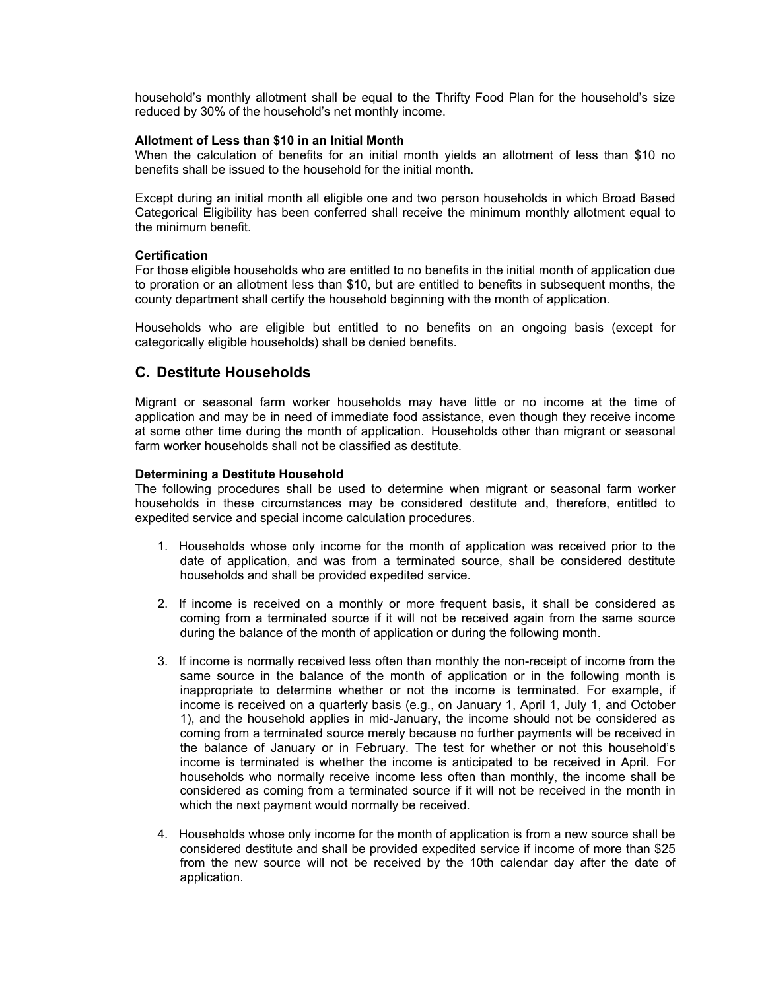household's monthly allotment shall be equal to the Thrifty Food Plan for the household's size reduced by 30% of the household's net monthly income.

#### **Allotment of Less than \$10 in an Initial Month**

When the calculation of benefits for an initial month yields an allotment of less than \$10 no benefits shall be issued to the household for the initial month.

Except during an initial month all eligible one and two person households in which Broad Based Categorical Eligibility has been conferred shall receive the minimum monthly allotment equal to the minimum benefit.

#### **Certification**

For those eligible households who are entitled to no benefits in the initial month of application due to proration or an allotment less than \$10, but are entitled to benefits in subsequent months, the county department shall certify the household beginning with the month of application.

Households who are eligible but entitled to no benefits on an ongoing basis (except for categorically eligible households) shall be denied benefits.

#### **C. Destitute Households**

Migrant or seasonal farm worker households may have little or no income at the time of application and may be in need of immediate food assistance, even though they receive income at some other time during the month of application. Households other than migrant or seasonal farm worker households shall not be classified as destitute.

#### **Determining a Destitute Household**

The following procedures shall be used to determine when migrant or seasonal farm worker households in these circumstances may be considered destitute and, therefore, entitled to expedited service and special income calculation procedures.

- 1. Households whose only income for the month of application was received prior to the date of application, and was from a terminated source, shall be considered destitute households and shall be provided expedited service.
- 2. If income is received on a monthly or more frequent basis, it shall be considered as coming from a terminated source if it will not be received again from the same source during the balance of the month of application or during the following month.
- 3. If income is normally received less often than monthly the non-receipt of income from the same source in the balance of the month of application or in the following month is inappropriate to determine whether or not the income is terminated. For example, if income is received on a quarterly basis (e.g., on January 1, April 1, July 1, and October 1), and the household applies in mid-January, the income should not be considered as coming from a terminated source merely because no further payments will be received in the balance of January or in February. The test for whether or not this household's income is terminated is whether the income is anticipated to be received in April. For households who normally receive income less often than monthly, the income shall be considered as coming from a terminated source if it will not be received in the month in which the next payment would normally be received.
- 4. Households whose only income for the month of application is from a new source shall be considered destitute and shall be provided expedited service if income of more than \$25 from the new source will not be received by the 10th calendar day after the date of application.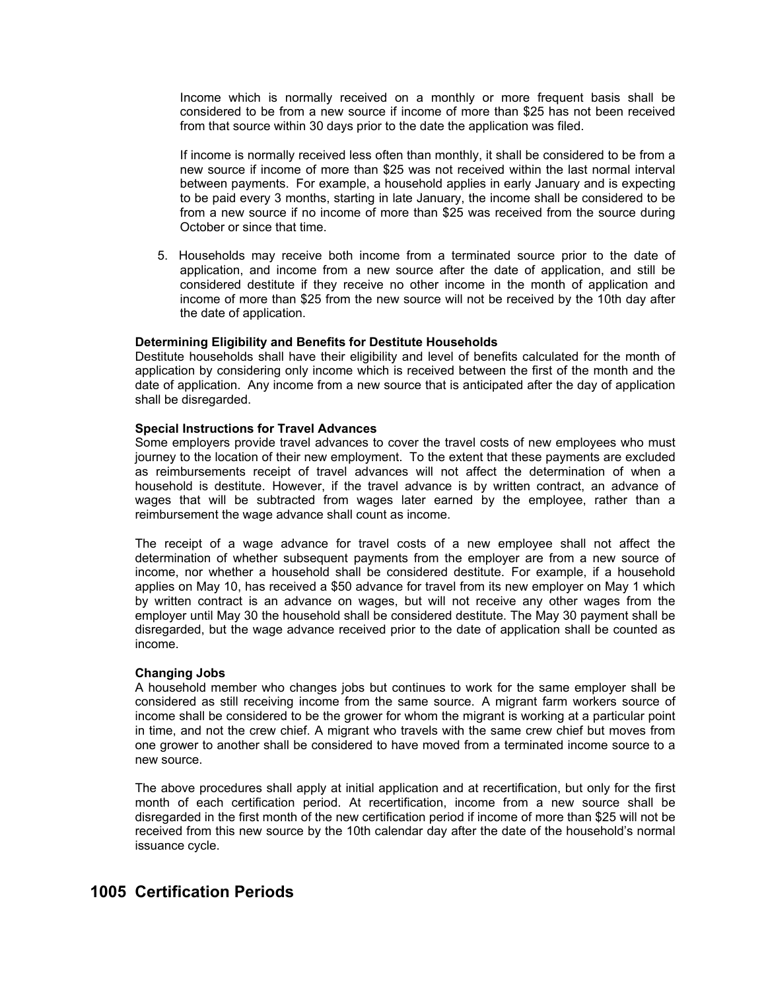Income which is normally received on a monthly or more frequent basis shall be considered to be from a new source if income of more than \$25 has not been received from that source within 30 days prior to the date the application was filed.

If income is normally received less often than monthly, it shall be considered to be from a new source if income of more than \$25 was not received within the last normal interval between payments. For example, a household applies in early January and is expecting to be paid every 3 months, starting in late January, the income shall be considered to be from a new source if no income of more than \$25 was received from the source during October or since that time.

5. Households may receive both income from a terminated source prior to the date of application, and income from a new source after the date of application, and still be considered destitute if they receive no other income in the month of application and income of more than \$25 from the new source will not be received by the 10th day after the date of application.

#### **Determining Eligibility and Benefits for Destitute Households**

Destitute households shall have their eligibility and level of benefits calculated for the month of application by considering only income which is received between the first of the month and the date of application. Any income from a new source that is anticipated after the day of application shall be disregarded.

#### **Special Instructions for Travel Advances**

Some employers provide travel advances to cover the travel costs of new employees who must journey to the location of their new employment. To the extent that these payments are excluded as reimbursements receipt of travel advances will not affect the determination of when a household is destitute. However, if the travel advance is by written contract, an advance of wages that will be subtracted from wages later earned by the employee, rather than a reimbursement the wage advance shall count as income.

The receipt of a wage advance for travel costs of a new employee shall not affect the determination of whether subsequent payments from the employer are from a new source of income, nor whether a household shall be considered destitute. For example, if a household applies on May 10, has received a \$50 advance for travel from its new employer on May 1 which by written contract is an advance on wages, but will not receive any other wages from the employer until May 30 the household shall be considered destitute. The May 30 payment shall be disregarded, but the wage advance received prior to the date of application shall be counted as income.

#### **Changing Jobs**

A household member who changes jobs but continues to work for the same employer shall be considered as still receiving income from the same source. A migrant farm workers source of income shall be considered to be the grower for whom the migrant is working at a particular point in time, and not the crew chief. A migrant who travels with the same crew chief but moves from one grower to another shall be considered to have moved from a terminated income source to a new source.

The above procedures shall apply at initial application and at recertification, but only for the first month of each certification period. At recertification, income from a new source shall be disregarded in the first month of the new certification period if income of more than \$25 will not be received from this new source by the 10th calendar day after the date of the household's normal issuance cycle.

# **1005 Certification Periods**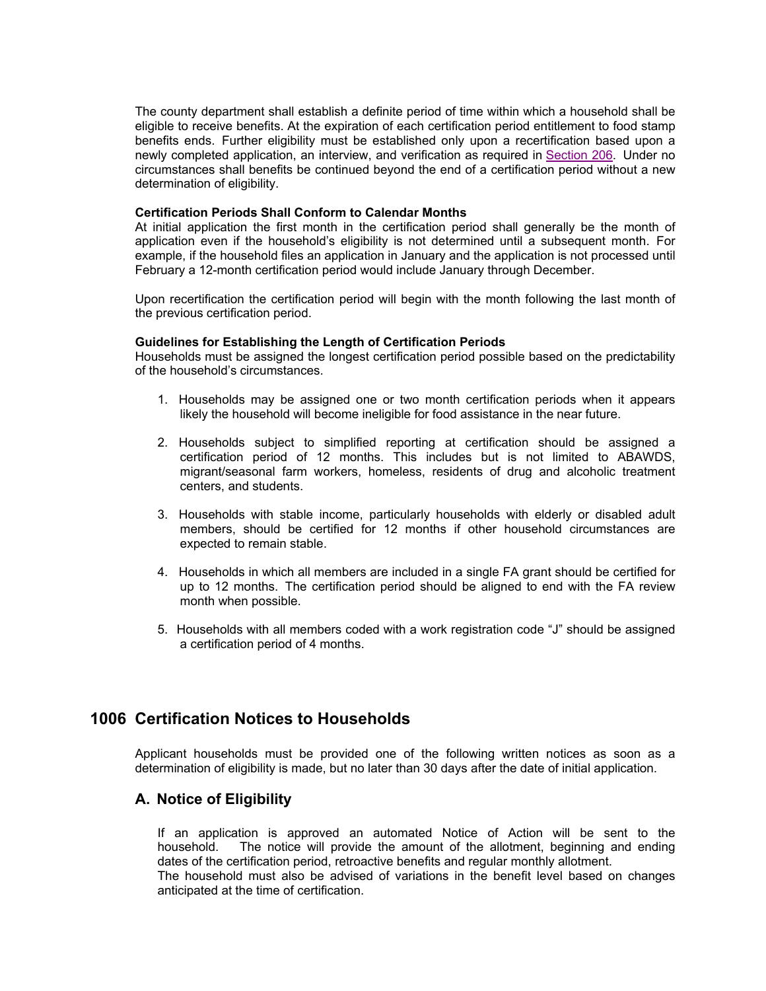The county department shall establish a definite period of time within which a household shall be eligible to receive benefits. At the expiration of each certification period entitlement to food stamp benefits ends. Further eligibility must be established only upon a recertification based upon a newly completed application, an interview, and verification as required in Section 206. Under no circumstances shall benefits be continued beyond the end of a certification period without a new determination of eligibility.

#### **Certification Periods Shall Conform to Calendar Months**

At initial application the first month in the certification period shall generally be the month of application even if the household's eligibility is not determined until a subsequent month. For example, if the household files an application in January and the application is not processed until February a 12-month certification period would include January through December.

Upon recertification the certification period will begin with the month following the last month of the previous certification period.

#### **Guidelines for Establishing the Length of Certification Periods**

Households must be assigned the longest certification period possible based on the predictability of the household's circumstances.

- 1. Households may be assigned one or two month certification periods when it appears likely the household will become ineligible for food assistance in the near future.
- 2. Households subject to simplified reporting at certification should be assigned a certification period of 12 months. This includes but is not limited to ABAWDS, migrant/seasonal farm workers, homeless, residents of drug and alcoholic treatment centers, and students.
- 3. Households with stable income, particularly households with elderly or disabled adult members, should be certified for 12 months if other household circumstances are expected to remain stable.
- 4. Households in which all members are included in a single FA grant should be certified for up to 12 months. The certification period should be aligned to end with the FA review month when possible.
- 5. Households with all members coded with a work registration code "J" should be assigned a certification period of 4 months.

# **1006 Certification Notices to Households**

Applicant households must be provided one of the following written notices as soon as a determination of eligibility is made, but no later than 30 days after the date of initial application.

### **A. Notice of Eligibility**

If an application is approved an automated Notice of Action will be sent to the household. The notice will provide the amount of the allotment, beginning and ending dates of the certification period, retroactive benefits and regular monthly allotment. The household must also be advised of variations in the benefit level based on changes anticipated at the time of certification.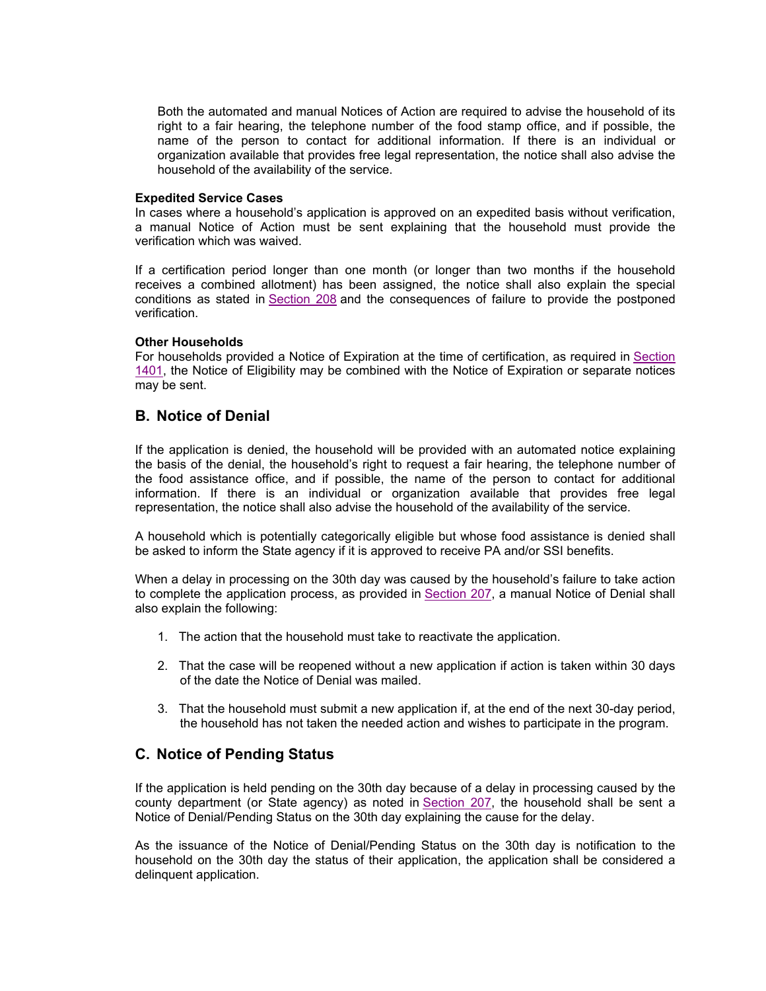Both the automated and manual Notices of Action are required to advise the household of its right to a fair hearing, the telephone number of the food stamp office, and if possible, the name of the person to contact for additional information. If there is an individual or organization available that provides free legal representation, the notice shall also advise the household of the availability of the service.

#### **Expedited Service Cases**

In cases where a household's application is approved on an expedited basis without verification, a manual Notice of Action must be sent explaining that the household must provide the verification which was waived.

If a certification period longer than one month (or longer than two months if the household receives a combined allotment) has been assigned, the notice shall also explain the special conditions as stated in Section 208 and the consequences of failure to provide the postponed verification.

#### **Other Households**

For households provided a Notice of Expiration at the time of certification, as required in Section 1401, the Notice of Eligibility may be combined with the Notice of Expiration or separate notices may be sent.

#### **B. Notice of Denial**

If the application is denied, the household will be provided with an automated notice explaining the basis of the denial, the household's right to request a fair hearing, the telephone number of the food assistance office, and if possible, the name of the person to contact for additional information. If there is an individual or organization available that provides free legal representation, the notice shall also advise the household of the availability of the service.

A household which is potentially categorically eligible but whose food assistance is denied shall be asked to inform the State agency if it is approved to receive PA and/or SSI benefits.

When a delay in processing on the 30th day was caused by the household's failure to take action to complete the application process, as provided in Section 207, a manual Notice of Denial shall also explain the following:

- 1. The action that the household must take to reactivate the application.
- 2. That the case will be reopened without a new application if action is taken within 30 days of the date the Notice of Denial was mailed.
- 3. That the household must submit a new application if, at the end of the next 30-day period, the household has not taken the needed action and wishes to participate in the program.

### **C. Notice of Pending Status**

If the application is held pending on the 30th day because of a delay in processing caused by the county department (or State agency) as noted in Section 207, the household shall be sent a Notice of Denial/Pending Status on the 30th day explaining the cause for the delay.

As the issuance of the Notice of Denial/Pending Status on the 30th day is notification to the household on the 30th day the status of their application, the application shall be considered a delinquent application.